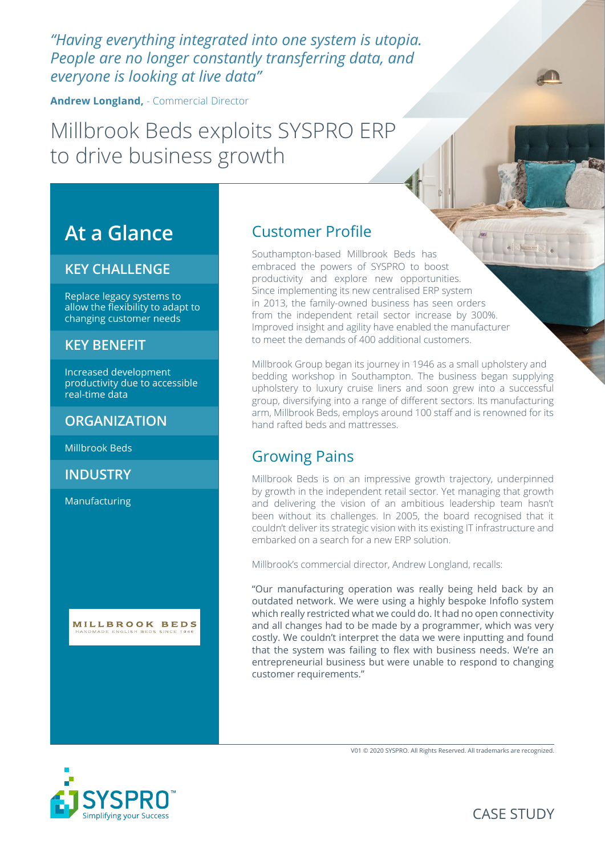*"Having everything integrated into one system is utopia. People are no longer constantly transferring data, and everyone is looking at live data"*

**Andrew Longland,** - Commercial Director

# Millbrook Beds exploits SYSPRO ERP to drive business growth

# **At a Glance**

#### **KEY CHALLENGE**

Replace legacy systems to allow the flexibility to adapt to changing customer needs

#### **KEY BENEFIT**

Increased development productivity due to accessible real-time data

#### **ORGANIZATION**

Millbrook Beds

**INDUSTRY**

Manufacturing



## Customer Profile

Southampton-based Millbrook Beds has embraced the powers of SYSPRO to boost productivity and explore new opportunities. Since implementing its new centralised ERP system in 2013, the family-owned business has seen orders from the independent retail sector increase by 300%. Improved insight and agility have enabled the manufacturer to meet the demands of 400 additional customers.

Millbrook Group began its journey in 1946 as a small upholstery and bedding workshop in Southampton. The business began supplying upholstery to luxury cruise liners and soon grew into a successful group, diversifying into a range of different sectors. Its manufacturing arm, Millbrook Beds, employs around 100 staff and is renowned for its hand rafted beds and mattresses.

#### Growing Pains

Millbrook Beds is on an impressive growth trajectory, underpinned by growth in the independent retail sector. Yet managing that growth and delivering the vision of an ambitious leadership team hasn't been without its challenges. In 2005, the board recognised that it couldn't deliver its strategic vision with its existing IT infrastructure and embarked on a search for a new ERP solution.

Millbrook's commercial director, Andrew Longland, recalls:

"Our manufacturing operation was really being held back by an outdated network. We were using a highly bespoke Infoflo system which really restricted what we could do. It had no open connectivity and all changes had to be made by a programmer, which was very costly. We couldn't interpret the data we were inputting and found that the system was failing to flex with business needs. We're an entrepreneurial business but were unable to respond to changing customer requirements."





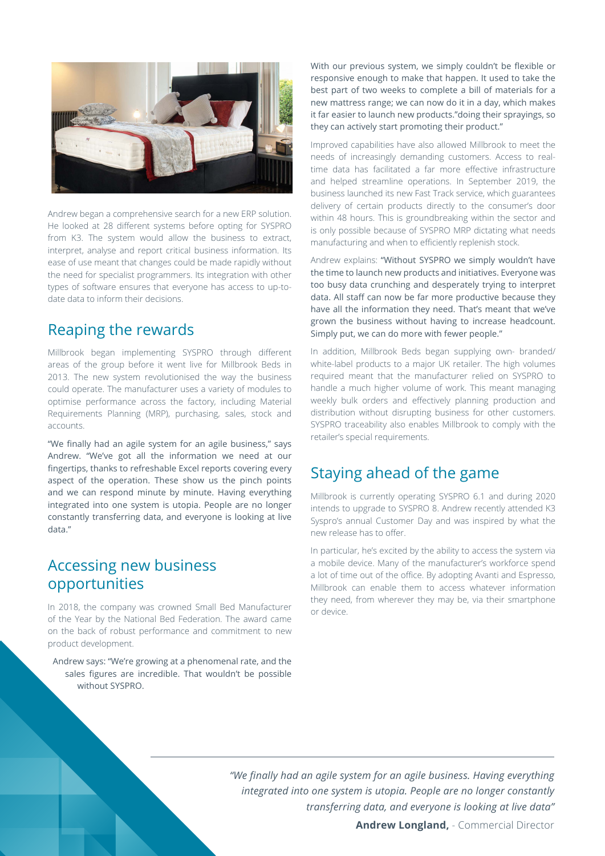

Andrew began a comprehensive search for a new ERP solution. He looked at 28 different systems before opting for SYSPRO from K3. The system would allow the business to extract, interpret, analyse and report critical business information. Its ease of use meant that changes could be made rapidly without the need for specialist programmers. Its integration with other types of software ensures that everyone has access to up-todate data to inform their decisions.

#### Reaping the rewards

Millbrook began implementing SYSPRO through different areas of the group before it went live for Millbrook Beds in 2013. The new system revolutionised the way the business could operate. The manufacturer uses a variety of modules to optimise performance across the factory, including Material Requirements Planning (MRP), purchasing, sales, stock and accounts.

"We finally had an agile system for an agile business," says Andrew. "We've got all the information we need at our fingertips, thanks to refreshable Excel reports covering every aspect of the operation. These show us the pinch points and we can respond minute by minute. Having everything integrated into one system is utopia. People are no longer constantly transferring data, and everyone is looking at live data."

### Accessing new business opportunities

In 2018, the company was crowned Small Bed Manufacturer of the Year by the National Bed Federation. The award came on the back of robust performance and commitment to new product development.

Andrew says: "We're growing at a phenomenal rate, and the sales figures are incredible. That wouldn't be possible without SYSPRO.

With our previous system, we simply couldn't be flexible or responsive enough to make that happen. It used to take the best part of two weeks to complete a bill of materials for a new mattress range; we can now do it in a day, which makes it far easier to launch new products."doing their sprayings, so they can actively start promoting their product."

Improved capabilities have also allowed Millbrook to meet the needs of increasingly demanding customers. Access to realtime data has facilitated a far more effective infrastructure and helped streamline operations. In September 2019, the business launched its new Fast Track service, which guarantees delivery of certain products directly to the consumer's door within 48 hours. This is groundbreaking within the sector and is only possible because of SYSPRO MRP dictating what needs manufacturing and when to efficiently replenish stock.

Andrew explains: "Without SYSPRO we simply wouldn't have the time to launch new products and initiatives. Everyone was too busy data crunching and desperately trying to interpret data. All staff can now be far more productive because they have all the information they need. That's meant that we've grown the business without having to increase headcount. Simply put, we can do more with fewer people."

In addition, Millbrook Beds began supplying own- branded/ white-label products to a major UK retailer. The high volumes required meant that the manufacturer relied on SYSPRO to handle a much higher volume of work. This meant managing weekly bulk orders and effectively planning production and distribution without disrupting business for other customers. SYSPRO traceability also enables Millbrook to comply with the retailer's special requirements.

## Staying ahead of the game

Millbrook is currently operating SYSPRO 6.1 and during 2020 intends to upgrade to SYSPRO 8. Andrew recently attended K3 Syspro's annual Customer Day and was inspired by what the new release has to offer.

In particular, he's excited by the ability to access the system via a mobile device. Many of the manufacturer's workforce spend a lot of time out of the office. By adopting Avanti and Espresso, Millbrook can enable them to access whatever information they need, from wherever they may be, via their smartphone or device.

 *"We finally had an agile system for an agile business. Having everything integrated into one system is utopia. People are no longer constantly transferring data, and everyone is looking at live data"*

**Andrew Longland,** - Commercial Director